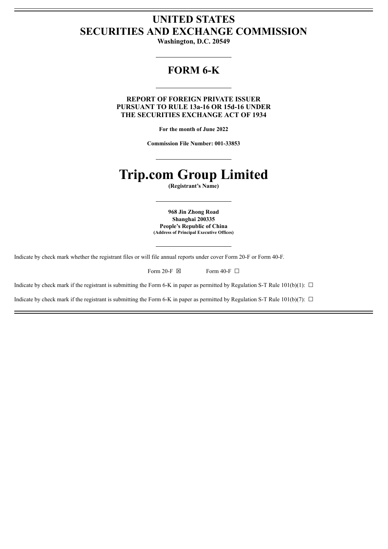# **UNITED STATES SECURITIES AND EXCHANGE COMMISSION**

**Washington, D.C. 20549**

## **FORM 6-K**

**REPORT OF FOREIGN PRIVATE ISSUER PURSUANT TO RULE 13a-16 OR 15d-16 UNDER THE SECURITIES EXCHANGE ACT OF 1934**

**For the month of June 2022**

**Commission File Number: 001-33853**

# **Trip.com Group Limited**

**(Registrant's Name)**

**968 Jin Zhong Road Shanghai 200335 People's Republic of China (Address of Principal Executive Offices)**

Indicate by check mark whether the registrant files or will file annual reports under cover Form 20-F or Form 40-F.

| Form 20-F $\boxtimes$ | Form 40-F $\Box$ |  |
|-----------------------|------------------|--|
|                       |                  |  |

Indicate by check mark if the registrant is submitting the Form 6-K in paper as permitted by Regulation S-T Rule 101(b)(1):  $\Box$ 

Indicate by check mark if the registrant is submitting the Form 6-K in paper as permitted by Regulation S-T Rule 101(b)(7):  $\Box$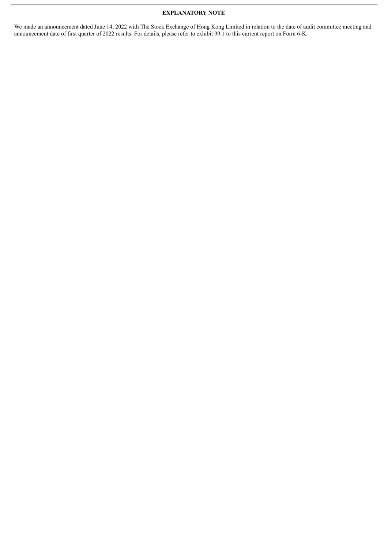#### **EXPLANATORY NOTE**

We made an announcement dated June 14, 2022 with The Stock Exchange of Hong Kong Limited in relation to the date of audit committee meeting and announcement date of first quarter of 2022 results. For details, please refer to exhibit 99.1 to this current report on Form 6-K.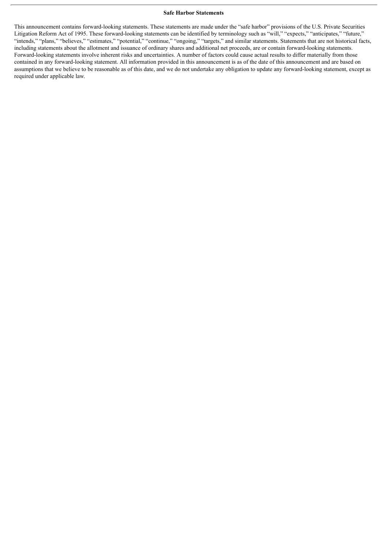#### **Safe Harbor Statements**

This announcement contains forward-looking statements. These statements are made under the "safe harbor" provisions of the U.S. Private Securities Litigation Reform Act of 1995. These forward-looking statements can be identified by terminology such as "will," "expects," "anticipates," "future," "intends," "plans," "believes," "estimates," "potential," "continue," "ongoing," "targets," and similar statements. Statements that are not historical facts, including statements about the allotment and issuance of ordinary shares and additional net proceeds, are or contain forward-looking statements. Forward-looking statements involve inherent risks and uncertainties. A number of factors could cause actual results to differ materially from those contained in any forward-looking statement. All information provided in this announcement is as of the date of this announcement and are based on assumptions that we believe to be reasonable as of this date, and we do not undertake any obligation to update any forward-looking statement, except as required under applicable law.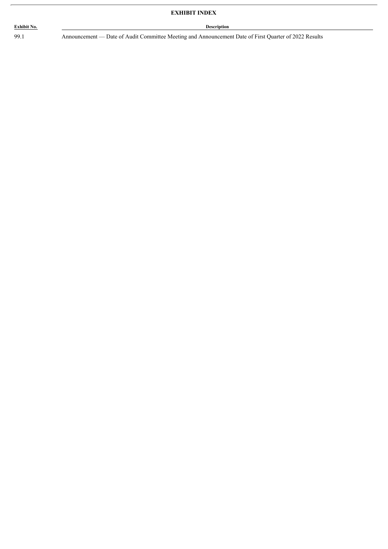## **Exhibit No. Description**

99.1 Announcement — Date of Audit Committee Meeting and Announcement Date of First Quarter of 2022 Results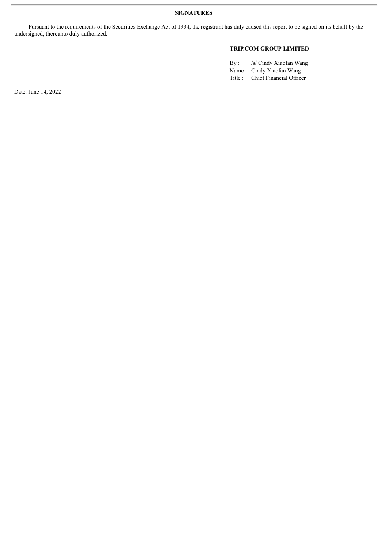Pursuant to the requirements of the Securities Exchange Act of 1934, the registrant has duly caused this report to be signed on its behalf by the undersigned, thereunto duly authorized.

### **TRIP.COM GROUP LIMITED**

By : /s/ Cindy Xiaofan Wang Name : Cindy Xiaofan Wang

Title : Chief Financial Officer

Date: June 14, 2022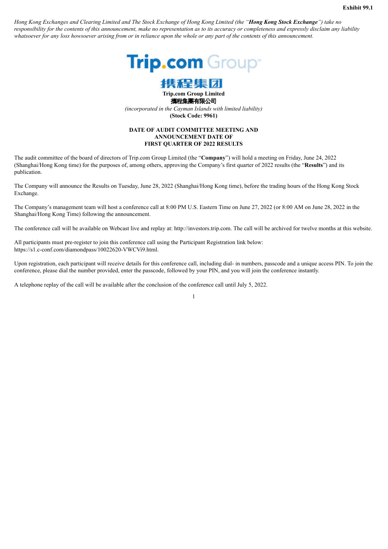Hong Kong Exchanges and Clearing Limited and The Stock Exchange of Hong Kong Limited (the "Hong Kong Stock Exchange") take no responsibility for the contents of this announcement, make no representation as to its accuracy or completeness and expressly disclaim any liability whatsoever for any loss howsoever arising from or in reliance upon the whole or any part of the contents of this announcement.





**Trip.com Group Limited** 攜程集團有限公司 *(incorporated in the Cayman Islands with limited liability)* **(Stock Code: 9961)**

#### **DATE OF AUDIT COMMITTEE MEETING AND ANNOUNCEMENT DATE OF FIRST QUARTER OF 2022 RESULTS**

The audit committee of the board of directors of Trip.com Group Limited (the "**Company**") will hold a meeting on Friday, June 24, 2022 (Shanghai/Hong Kong time) for the purposes of, among others, approving the Company's first quarter of 2022 results (the "**Results**") and its publication.

The Company will announce the Results on Tuesday, June 28, 2022 (Shanghai/Hong Kong time), before the trading hours of the Hong Kong Stock Exchange.

The Company's management team will host a conference call at 8:00 PM U.S. Eastern Time on June 27, 2022 (or 8:00 AM on June 28, 2022 in the Shanghai/Hong Kong Time) following the announcement.

The conference call will be available on Webcast live and replay at: http://investors.trip.com. The call will be archived for twelve months at this website.

All participants must pre-register to join this conference call using the Participant Registration link below: https://s1.c-conf.com/diamondpass/10022620-VWCVi9.html.

Upon registration, each participant will receive details for this conference call, including dial- in numbers, passcode and a unique access PIN. To join the conference, please dial the number provided, enter the passcode, followed by your PIN, and you will join the conference instantly.

A telephone replay of the call will be available after the conclusion of the conference call until July 5, 2022.